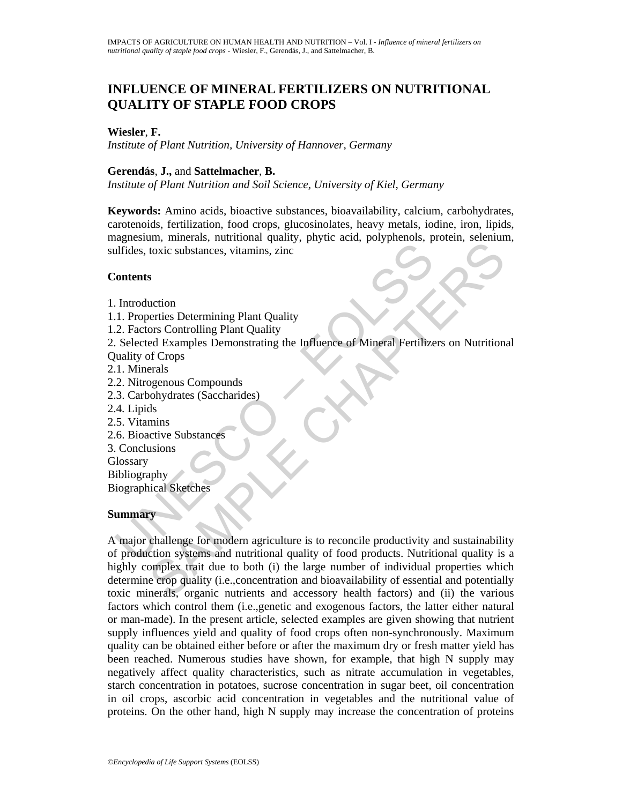# **INFLUENCE OF MINERAL FERTILIZERS ON NUTRITIONAL QUALITY OF STAPLE FOOD CROPS**

#### **Wiesler**, **F.**

*Institute of Plant Nutrition, University of Hannover, Germany* 

#### **Gerendás**, **J.,** and **Sattelmacher**, **B.**

*Institute of Plant Nutrition and Soil Science, University of Kiel, Germany* 

**Keywords:** Amino acids, bioactive substances, bioavailability, calcium, carbohydrates, carotenoids, fertilization, food crops, glucosinolates, heavy metals, iodine, iron, lipids, magnesium, minerals, nutritional quality, phytic acid, polyphenols, protein, selenium, sulfides, toxic substances, vitamins, zinc

#### **Contents**

1. Introduction

- 1.1. Properties Determining Plant Quality
- 1.2. Factors Controlling Plant Quality

2. Selected Examples Demonstrating the Influence of Mineral Fertilizers on Nutritional Quality of Crops

- 2.1. Minerals
- 2.2. Nitrogenous Compounds
- 2.3. Carbohydrates (Saccharides)
- 2.4. Lipids
- 2.5. Vitamins
- 2.6. Bioactive Substances
- 3. Conclusions

**Glossary** 

Bibliography Biographical Sketches

#### **Summary**

Contents<br>
Introduction<br>
1. Properties Determining Plant Quality<br>
2. Factors Controlling Plant Quality<br>
2. Factors Controlling Plant Quality<br>
2. Factors Controlling Plant Quality<br>
2. Nitrogenous Compounds<br>
3. Carbohydrates Example and the state of the large number of individual properties Determining Plant Quality<br>
ors Controlling Plant Quality<br>
ors Controlling Plant Quality<br>
ors Controlling Plant Quality<br>
ors Controlling Plant Quality<br>
dete A major challenge for modern agriculture is to reconcile productivity and sustainability of production systems and nutritional quality of food products. Nutritional quality is a highly complex trait due to both (i) the large number of individual properties which determine crop quality (i.e.,concentration and bioavailability of essential and potentially toxic minerals, organic nutrients and accessory health factors) and (ii) the various factors which control them (i.e.,genetic and exogenous factors, the latter either natural or man-made). In the present article, selected examples are given showing that nutrient supply influences yield and quality of food crops often non-synchronously. Maximum quality can be obtained either before or after the maximum dry or fresh matter yield has been reached. Numerous studies have shown, for example, that high N supply may negatively affect quality characteristics, such as nitrate accumulation in vegetables, starch concentration in potatoes, sucrose concentration in sugar beet, oil concentration in oil crops, ascorbic acid concentration in vegetables and the nutritional value of proteins. On the other hand, high N supply may increase the concentration of proteins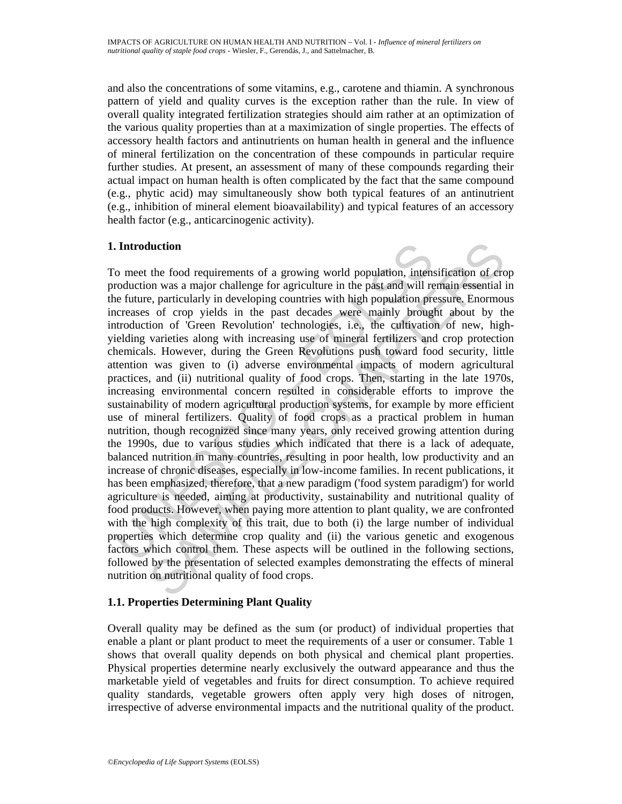and also the concentrations of some vitamins, e.g., carotene and thiamin. A synchronous pattern of yield and quality curves is the exception rather than the rule. In view of overall quality integrated fertilization strategies should aim rather at an optimization of the various quality properties than at a maximization of single properties. The effects of accessory health factors and antinutrients on human health in general and the influence of mineral fertilization on the concentration of these compounds in particular require further studies. At present, an assessment of many of these compounds regarding their actual impact on human health is often complicated by the fact that the same compound (e.g., phytic acid) may simultaneously show both typical features of an antinutrient (e.g., inhibition of mineral element bioavailability) and typical features of an accessory health factor (e.g., anticarcinogenic activity).

# **1. Introduction**

Introduction<br>o meet the food requirements of a growing world population, intens<br>roduction was a major challenge for agriculture in the past and will re<br>e future, particularly in developing countries with high population pr Interior<br>
the food requirements of a growing world population, intensification of ero<br>
n was a major challenge for agriculture in the past and will remain essential is<br>
c, particulary in developing countries with high popu To meet the food requirements of a growing world population, intensification of crop production was a major challenge for agriculture in the past and will remain essential in the future, particularly in developing countries with high population pressure. Enormous increases of crop yields in the past decades were mainly brought about by the introduction of 'Green Revolution' technologies, i.e., the cultivation of new, highyielding varieties along with increasing use of mineral fertilizers and crop protection chemicals. However, during the Green Revolutions push toward food security, little attention was given to (i) adverse environmental impacts of modern agricultural practices, and (ii) nutritional quality of food crops. Then, starting in the late 1970s, increasing environmental concern resulted in considerable efforts to improve the sustainability of modern agricultural production systems, for example by more efficient use of mineral fertilizers. Quality of food crops as a practical problem in human nutrition, though recognized since many years, only received growing attention during the 1990s, due to various studies which indicated that there is a lack of adequate, balanced nutrition in many countries, resulting in poor health, low productivity and an increase of chronic diseases, especially in low-income families. In recent publications, it has been emphasized, therefore, that a new paradigm ('food system paradigm') for world agriculture is needed, aiming at productivity, sustainability and nutritional quality of food products. However, when paying more attention to plant quality, we are confronted with the high complexity of this trait, due to both (i) the large number of individual properties which determine crop quality and (ii) the various genetic and exogenous factors which control them. These aspects will be outlined in the following sections, followed by the presentation of selected examples demonstrating the effects of mineral nutrition on nutritional quality of food crops.

# **1.1. Properties Determining Plant Quality**

Overall quality may be defined as the sum (or product) of individual properties that enable a plant or plant product to meet the requirements of a user or consumer. Table 1 shows that overall quality depends on both physical and chemical plant properties. Physical properties determine nearly exclusively the outward appearance and thus the marketable yield of vegetables and fruits for direct consumption. To achieve required quality standards, vegetable growers often apply very high doses of nitrogen, irrespective of adverse environmental impacts and the nutritional quality of the product.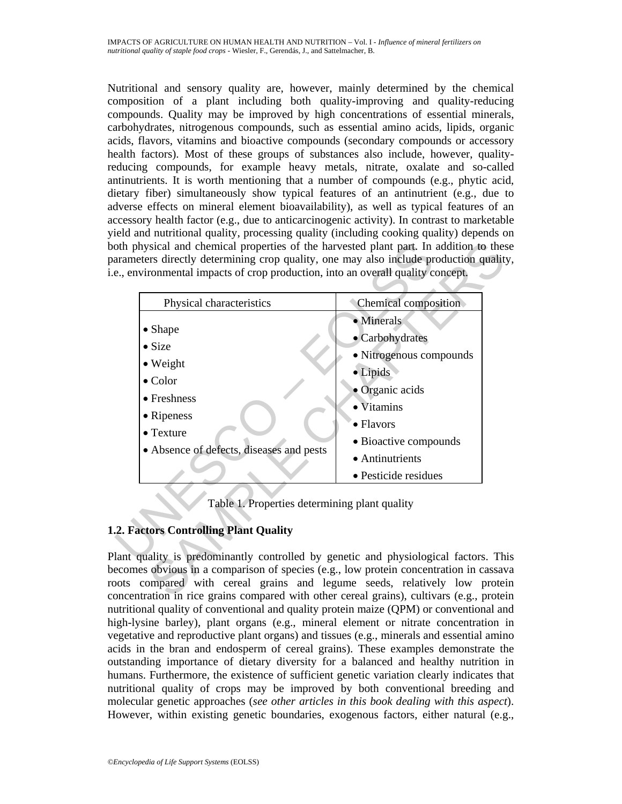Nutritional and sensory quality are, however, mainly determined by the chemical composition of a plant including both quality-improving and quality-reducing compounds. Quality may be improved by high concentrations of essential minerals, carbohydrates, nitrogenous compounds, such as essential amino acids, lipids, organic acids, flavors, vitamins and bioactive compounds (secondary compounds or accessory health factors). Most of these groups of substances also include, however, qualityreducing compounds, for example heavy metals, nitrate, oxalate and so-called antinutrients. It is worth mentioning that a number of compounds (e.g., phytic acid, dietary fiber) simultaneously show typical features of an antinutrient (e.g., due to adverse effects on mineral element bioavailability), as well as typical features of an accessory health factor (e.g., due to anticarcinogenic activity). In contrast to marketable yield and nutritional quality, processing quality (including cooking quality) depends on both physical and chemical properties of the harvested plant part. In addition to these parameters directly determining crop quality, one may also include production quality, i.e., environmental impacts of crop production, into an overall quality concept.

| Physical characteristics                                                                   | Chemical composition    |
|--------------------------------------------------------------------------------------------|-------------------------|
|                                                                                            | · Minerals              |
| • Shape                                                                                    | • Carbohydrates         |
| $\bullet$ Size                                                                             | • Nitrogenous compounds |
| • Weight                                                                                   | · Lipids                |
| $\bullet$ Color                                                                            | • Organic acids         |
| • Freshness<br>• Ripeness<br>$\bullet$ Texture<br>• Absence of defects, diseases and pests | • Vitamins              |
|                                                                                            | $\bullet$ Flavors       |
|                                                                                            | · Bioactive compounds   |
|                                                                                            | • Antinutrients         |
|                                                                                            | · Pesticide residues    |
| Table 1. Properties determining plant quality                                              |                         |
| 2. Factors Controlling Plant Quality                                                       |                         |

Table 1. Properties determining plant quality

# **1.2. Factors Controlling Plant Quality**

Plant quality is predominantly controlled by genetic and physiological factors. This becomes obvious in a comparison of species (e.g., low protein concentration in cassava roots compared with cereal grains and legume seeds, relatively low protein concentration in rice grains compared with other cereal grains), cultivars (e.g., protein nutritional quality of conventional and quality protein maize (QPM) or conventional and high-lysine barley), plant organs (e.g., mineral element or nitrate concentration in vegetative and reproductive plant organs) and tissues (e.g., minerals and essential amino acids in the bran and endosperm of cereal grains). These examples demonstrate the outstanding importance of dietary diversity for a balanced and healthy nutrition in humans. Furthermore, the existence of sufficient genetic variation clearly indicates that nutritional quality of crops may be improved by both conventional breeding and molecular genetic approaches (*see other articles in this book dealing with this aspect*). However, within existing genetic boundaries, exogenous factors, either natural (e.g.,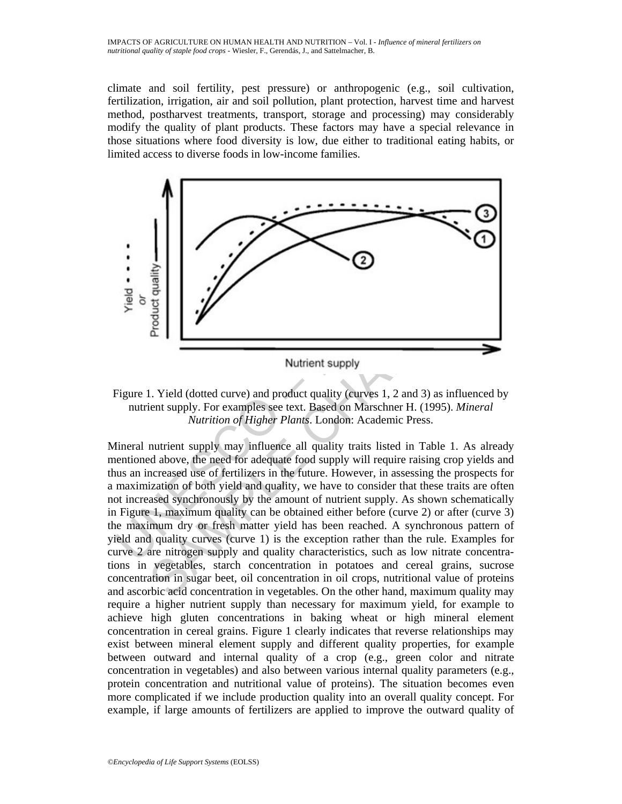climate and soil fertility, pest pressure) or anthropogenic (e.g., soil cultivation, fertilization, irrigation, air and soil pollution, plant protection, harvest time and harvest method, postharvest treatments, transport, storage and processing) may considerably modify the quality of plant products. These factors may have a special relevance in those situations where food diversity is low, due either to traditional eating habits, or limited access to diverse foods in low-income families.



Figure 1. Yield (dotted curve) and product quality (curves 1, 2 and 3) as influenced by nutrient supply. For examples see text. Based on Marschner H. (1995). *Mineral Nutrition of Higher Plants*. London: Academic Press.

And the state of the contention in our product same of the state of the state of the state of the state of the state of the state of the number of the number of the number of the number of the number of the number of the Mineral nutrient supply may influence all quality traits listed in Table 1. As already mentioned above, the need for adequate food supply will require raising crop yields and thus an increased use of fertilizers in the future. However, in assessing the prospects for a maximization of both yield and quality, we have to consider that these traits are often not increased synchronously by the amount of nutrient supply. As shown schematically in Figure 1, maximum quality can be obtained either before (curve 2) or after (curve 3) the maximum dry or fresh matter yield has been reached. A synchronous pattern of yield and quality curves (curve 1) is the exception rather than the rule. Examples for curve 2 are nitrogen supply and quality characteristics, such as low nitrate concentrations in vegetables, starch concentration in potatoes and cereal grains, sucrose concentration in sugar beet, oil concentration in oil crops, nutritional value of proteins and ascorbic acid concentration in vegetables. On the other hand, maximum quality may require a higher nutrient supply than necessary for maximum yield, for example to achieve high gluten concentrations in baking wheat or high mineral element concentration in cereal grains. Figure 1 clearly indicates that reverse relationships may exist between mineral element supply and different quality properties, for example between outward and internal quality of a crop (e.g., green color and nitrate concentration in vegetables) and also between various internal quality parameters (e.g., protein concentration and nutritional value of proteins). The situation becomes even more complicated if we include production quality into an overall quality concept. For example, if large amounts of fertilizers are applied to improve the outward quality of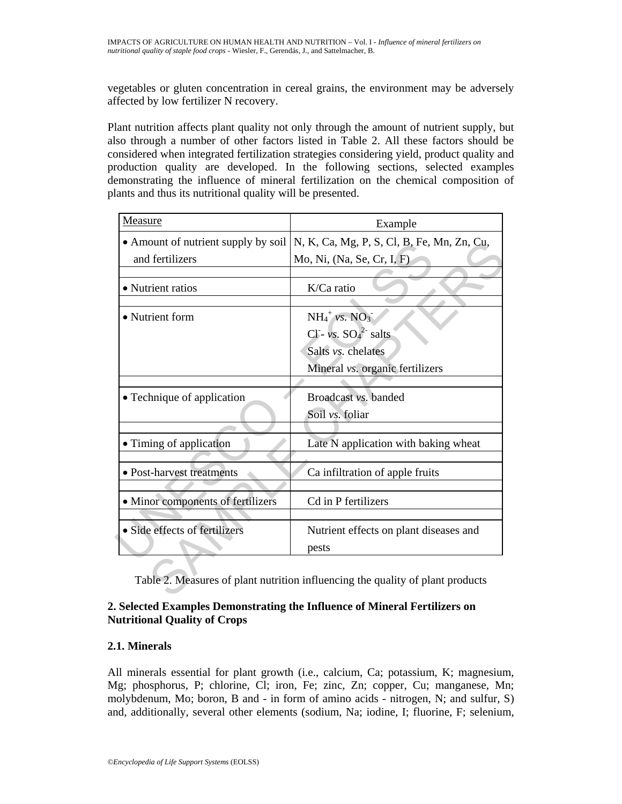vegetables or gluten concentration in cereal grains, the environment may be adversely affected by low fertilizer N recovery.

Plant nutrition affects plant quality not only through the amount of nutrient supply, but also through a number of other factors listed in Table 2. All these factors should be considered when integrated fertilization strategies considering yield, product quality and production quality are developed. In the following sections, selected examples demonstrating the influence of mineral fertilization on the chemical composition of plants and thus its nutritional quality will be presented.

| Measure                                                                        | Example                                    |
|--------------------------------------------------------------------------------|--------------------------------------------|
| • Amount of nutrient supply by soil                                            | N, K, Ca, Mg, P, S, Cl, B, Fe, Mn, Zn, Cu, |
| and fertilizers                                                                | Mo, Ni, (Na, Se, Cr, I, F)                 |
|                                                                                |                                            |
| • Nutrient ratios                                                              | K/Ca ratio                                 |
| • Nutrient form                                                                | $NH_4^+$ vs. $NO_3^-$                      |
|                                                                                | CI- vs. $SO_4^2$ salts                     |
|                                                                                | Salts vs. chelates                         |
|                                                                                | Mineral vs. organic fertilizers            |
|                                                                                |                                            |
| • Technique of application                                                     | Broadcast vs. banded                       |
|                                                                                | Soil vs. foliar                            |
|                                                                                |                                            |
| • Timing of application                                                        | Late N application with baking wheat       |
|                                                                                |                                            |
| • Post-harvest treatments                                                      | Ca infiltration of apple fruits            |
| • Minor components of fertilizers                                              | Cd in P fertilizers                        |
| • Side effects of fertilizers                                                  | Nutrient effects on plant diseases and     |
|                                                                                | pests                                      |
| Table 2. Measures of plant nutrition influencing the quality of plant products |                                            |

# **2. Selected Examples Demonstrating the Influence of Mineral Fertilizers on Nutritional Quality of Crops**

# **2.1. Minerals**

All minerals essential for plant growth (i.e., calcium, Ca; potassium, K; magnesium, Mg; phosphorus, P; chlorine, Cl; iron, Fe; zinc, Zn; copper, Cu; manganese, Mn; molybdenum, Mo; boron, B and - in form of amino acids - nitrogen, N; and sulfur, S) and, additionally, several other elements (sodium, Na; iodine, I; fluorine, F; selenium,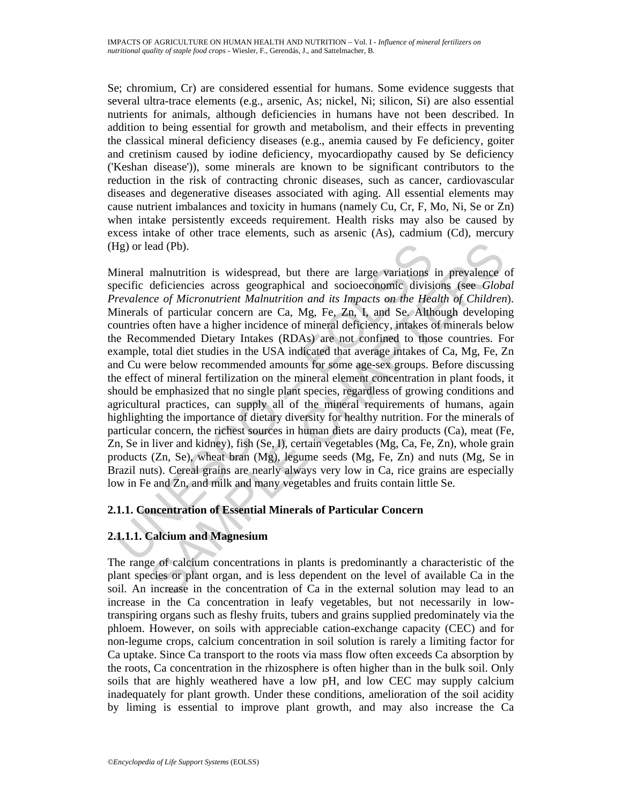Se; chromium, Cr) are considered essential for humans. Some evidence suggests that several ultra-trace elements (e.g., arsenic, As; nickel, Ni; silicon, Si) are also essential nutrients for animals, although deficiencies in humans have not been described. In addition to being essential for growth and metabolism, and their effects in preventing the classical mineral deficiency diseases (e.g., anemia caused by Fe deficiency, goiter and cretinism caused by iodine deficiency, myocardiopathy caused by Se deficiency ('Keshan disease')), some minerals are known to be significant contributors to the reduction in the risk of contracting chronic diseases, such as cancer, cardiovascular diseases and degenerative diseases associated with aging. All essential elements may cause nutrient imbalances and toxicity in humans (namely Cu, Cr, F, Mo, Ni, Se or Zn) when intake persistently exceeds requirement. Health risks may also be caused by excess intake of other trace elements, such as arsenic (As), cadmium (Cd), mercury (Hg) or lead (Pb).

Hg) or lead (Pb).<br>
Hineral malnutrition is widespread, but there are large variations<br>
becific deficiencies across geographical and socioeconomic divisi<br> *revalence of Micronutrient Malnutrition and its Impacts on the Hea* ead (Pb).<br>
malnutrition is widespread, but there are large variations in prevalence deficiencies across geographical and socioeconomic divisions (see *Globo*<br>
cof of particular concern are Ca, Mg, Fe, Zn, L and Se. Althou Mineral malnutrition is widespread, but there are large variations in prevalence of specific deficiencies across geographical and socioeconomic divisions (see *Global Prevalence of Micronutrient Malnutrition and its Impacts on the Health of Children*). Minerals of particular concern are Ca, Mg, Fe, Zn, I, and Se. Although developing countries often have a higher incidence of mineral deficiency, intakes of minerals below the Recommended Dietary Intakes (RDAs) are not confined to those countries. For example, total diet studies in the USA indicated that average intakes of Ca, Mg, Fe, Zn and Cu were below recommended amounts for some age-sex groups. Before discussing the effect of mineral fertilization on the mineral element concentration in plant foods, it should be emphasized that no single plant species, regardless of growing conditions and agricultural practices, can supply all of the mineral requirements of humans, again highlighting the importance of dietary diversity for healthy nutrition. For the minerals of particular concern, the richest sources in human diets are dairy products (Ca), meat (Fe, Zn, Se in liver and kidney), fish (Se, I), certain vegetables (Mg, Ca, Fe, Zn), whole grain products (Zn, Se), wheat bran (Mg), legume seeds (Mg, Fe, Zn) and nuts (Mg, Se in Brazil nuts). Cereal grains are nearly always very low in Ca, rice grains are especially low in Fe and Zn, and milk and many vegetables and fruits contain little Se.

# **2.1.1. Concentration of Essential Minerals of Particular Concern**

# **2.1.1.1. Calcium and Magnesium**

The range of calcium concentrations in plants is predominantly a characteristic of the plant species or plant organ, and is less dependent on the level of available Ca in the soil. An increase in the concentration of Ca in the external solution may lead to an increase in the Ca concentration in leafy vegetables, but not necessarily in lowtranspiring organs such as fleshy fruits, tubers and grains supplied predominately via the phloem. However, on soils with appreciable cation-exchange capacity (CEC) and for non-legume crops, calcium concentration in soil solution is rarely a limiting factor for Ca uptake. Since Ca transport to the roots via mass flow often exceeds Ca absorption by the roots, Ca concentration in the rhizosphere is often higher than in the bulk soil. Only soils that are highly weathered have a low pH, and low CEC may supply calcium inadequately for plant growth. Under these conditions, amelioration of the soil acidity by liming is essential to improve plant growth, and may also increase the Ca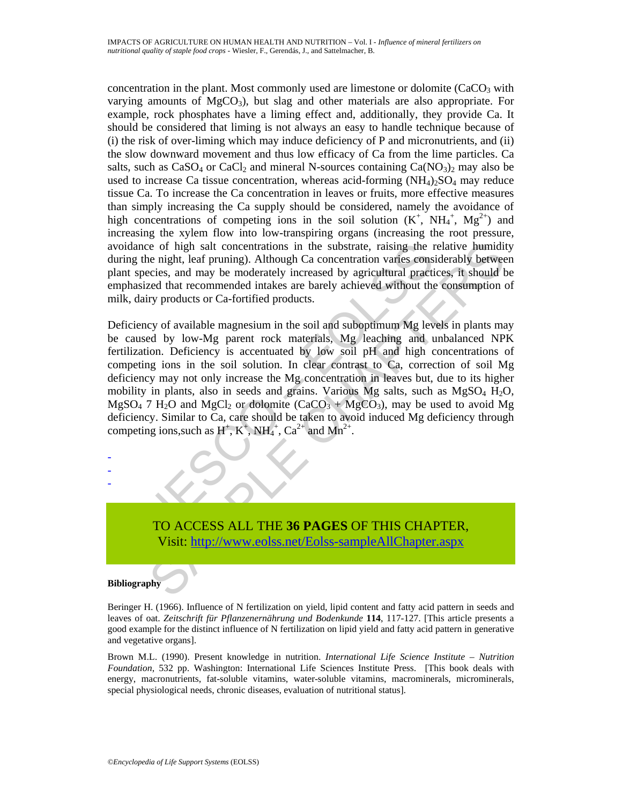concentration in the plant. Most commonly used are limestone or dolomite  $(CaCO<sub>3</sub>$  with varying amounts of  $MgCO<sub>3</sub>$ , but slag and other materials are also appropriate. For example, rock phosphates have a liming effect and, additionally, they provide Ca. It should be considered that liming is not always an easy to handle technique because of (i) the risk of over-liming which may induce deficiency of P and micronutrients, and (ii) the slow downward movement and thus low efficacy of Ca from the lime particles. Ca salts, such as  $CaSO_4$  or  $CaCl_2$  and mineral N-sources containing  $Ca(NO_3)_2$  may also be used to increase Ca tissue concentration, whereas acid-forming  $(NH_4)_2SO_4$  may reduce tissue Ca. To increase the Ca concentration in leaves or fruits, more effective measures than simply increasing the Ca supply should be considered, namely the avoidance of high concentrations of competing ions in the soil solution  $(K^+, NH_4^+, Mg^{2+})$  and increasing the xylem flow into low-transpiring organs (increasing the root pressure, avoidance of high salt concentrations in the substrate, raising the relative humidity during the night, leaf pruning). Although Ca concentration varies considerably between plant species, and may be moderately increased by agricultural practices, it should be emphasized that recommended intakes are barely achieved without the consumption of milk, dairy products or Ca-fortified products.

woidance of high salt concentrations in the substrate, raising the ruring the night, leaf pruning). Although Ca concentration varies constant species, and may be moderately increased by agricultural practility inclusion p is the relative human and the substrate, raising the relative humiditive is equilibrity and concentration varies considerably between<br>eices, and may be moderately increased by agricultural practices, it should be<br>recise, Deficiency of available magnesium in the soil and suboptimum Mg levels in plants may be caused by low-Mg parent rock materials, Mg leaching and unbalanced NPK fertilization. Deficiency is accentuated by low soil pH and high concentrations of competing ions in the soil solution. In clear contrast to Ca, correction of soil Mg deficiency may not only increase the Mg concentration in leaves but, due to its higher mobility in plants, also in seeds and grains. Various Mg salts, such as  $MgSO<sub>4</sub> H<sub>2</sub>O$ ,  $MgSO_4$  7 H<sub>2</sub>O and MgCl<sub>2</sub> or dolomite (CaCO<sub>3</sub> + MgCO<sub>3</sub>), may be used to avoid Mg deficiency. Similar to Ca, care should be taken to avoid induced Mg deficiency through competing ions, such as  $H^+, K^+, NH_4^+, Ca^{2+}$  and  $Mn^{2+}$ .



#### **Bibliography**

- - -

Beringer H. (1966). Influence of N fertilization on yield, lipid content and fatty acid pattern in seeds and leaves of oat. *Zeitschrift für Pflanzenernährung und Bodenkunde* **114**, 117-127. [This article presents a good example for the distinct influence of N fertilization on lipid yield and fatty acid pattern in generative and vegetative organs].

Brown M.L. (1990). Present knowledge in nutrition. *International Life Science Institute – Nutrition Foundation*, 532 pp. Washington: International Life Sciences Institute Press. [This book deals with energy, macronutrients, fat-soluble vitamins, water-soluble vitamins, macrominerals, microminerals, special physiological needs, chronic diseases, evaluation of nutritional status].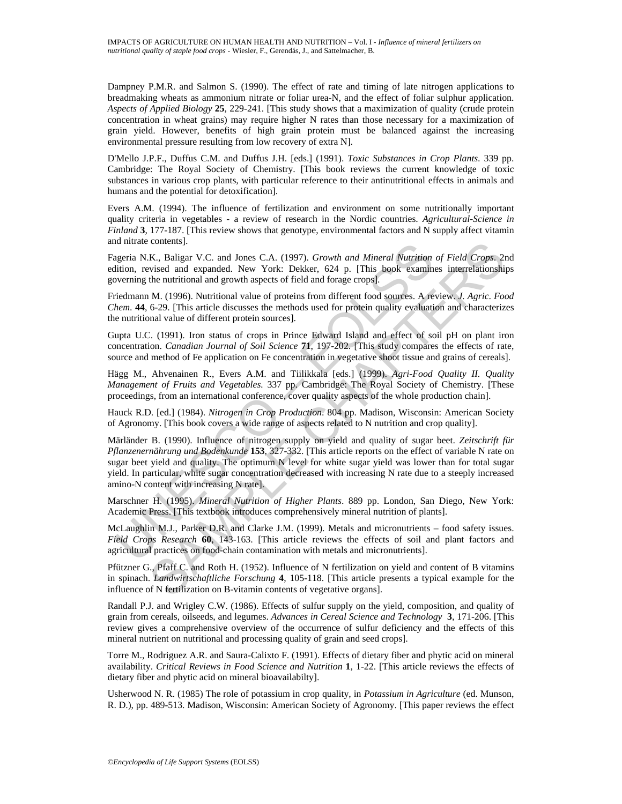Dampney P.M.R. and Salmon S. (1990). The effect of rate and timing of late nitrogen applications to breadmaking wheats as ammonium nitrate or foliar urea-N, and the effect of foliar sulphur application. *Aspects of Applied Biology* **25**, 229-241. [This study shows that a maximization of quality (crude protein concentration in wheat grains) may require higher N rates than those necessary for a maximization of grain yield. However, benefits of high grain protein must be balanced against the increasing environmental pressure resulting from low recovery of extra N].

D'Mello J.P.F., Duffus C.M. and Duffus J.H. [eds.] (1991). *Toxic Substances in Crop Plants*. 339 pp. Cambridge: The Royal Society of Chemistry. [This book reviews the current knowledge of toxic substances in various crop plants, with particular reference to their antinutritional effects in animals and humans and the potential for detoxification].

Evers A.M. (1994). The influence of fertilization and environment on some nutritionally important quality criteria in vegetables - a review of research in the Nordic countries. *Agricultural-Science in Finland* **3**, 177-187. [This review shows that genotype, environmental factors and N supply affect vitamin and nitrate contents].

Fageria N.K., Baligar V.C. and Jones C.A. (1997). *Growth and Mineral Nutrition of Field Crops*. 2nd edition, revised and expanded. New York: Dekker, 624 p. [This book examines interrelationships governing the nutritional and growth aspects of field and forage crops].

Friedmann M. (1996). Nutritional value of proteins from different food sources. A review. *J. Agric*. *Food Chem*. **44**, 6-29. [This article discusses the methods used for protein quality evaluation and characterizes the nutritional value of different protein sources].

Gupta U.C. (1991). Iron status of crops in Prince Edward Island and effect of soil pH on plant iron concentration. *Canadian Journal of Soil Science* **71**, 197-202. [This study compares the effects of rate, source and method of Fe application on Fe concentration in vegetative shoot tissue and grains of cereals].

Hägg M., Ahvenainen R., Evers A.M. and Tiilikkala [eds.] (1999). *Agri-Food Quality II. Quality Management of Fruits and Vegetables.* 337 pp. Cambridge: The Royal Society of Chemistry. [These proceedings, from an international conference, cover quality aspects of the whole production chain].

Hauck R.D. [ed.] (1984). *Nitrogen in Crop Production*. 804 pp. Madison, Wisconsin: American Society of Agronomy. [This book covers a wide range of aspects related to N nutrition and crop quality].

agena N.K., Baligar V.C. and Jones C.A. (1997). *Growth and Mineral Nutrition*<br>geria N.K., Baligar V.C. and Jones C.A. (1997). *Growth and Mineral Nutrition*<br>verning the nutritional and growth aspects of field and forage c contents).<br>
EX, Ralignar V.C. and Jones C.A. (1997). *Growth and Mineral Nutrition of Field Crops.* 2r, Nakigar V.C. and Jones C.A. (1997). *Growth and Mineral Nutrition of Field Crops.* 2r, wised and expanded. New York: Märländer B. (1990). Influence of nitrogen supply on yield and quality of sugar beet. *Zeitschrift für Pflanzenernährung und Bodenkunde* **153**, 327-332. [This article reports on the effect of variable N rate on sugar beet yield and quality. The optimum N level for white sugar yield was lower than for total sugar yield. In particular, white sugar concentration decreased with increasing N rate due to a steeply increased amino-N content with increasing N rate].

Marschner H. (1995). *Mineral Nutrition of Higher Plants*. 889 pp. London, San Diego, New York: Academic Press. [This textbook introduces comprehensively mineral nutrition of plants].

McLaughlin M.J., Parker D.R. and Clarke J.M. (1999). Metals and micronutrients – food safety issues. *Field Crops Research* **60**, 143-163. [This article reviews the effects of soil and plant factors and agricultural practices on food-chain contamination with metals and micronutrients].

Pfützner G., Pfaff C. and Roth H. (1952). Influence of N fertilization on yield and content of B vitamins in spinach. *Landwirtschaftliche Forschung* **4**, 105-118. [This article presents a typical example for the influence of N fertilization on B-vitamin contents of vegetative organs].

Randall P.J. and Wrigley C.W. (1986). Effects of sulfur supply on the yield, composition, and quality of grain from cereals, oilseeds, and legumes. *Advances in Cereal Science and Technology* **3**, 171-206. [This review gives a comprehensive overview of the occurrence of sulfur deficiency and the effects of this mineral nutrient on nutritional and processing quality of grain and seed crops].

Torre M., Rodriguez A.R. and Saura-Calixto F. (1991). Effects of dietary fiber and phytic acid on mineral availability. *Critical Reviews in Food Science and Nutrition* **1**, 1-22. [This article reviews the effects of dietary fiber and phytic acid on mineral bioavailabilty].

Usherwood N. R. (1985) The role of potassium in crop quality, in *Potassium in Agriculture* (ed. Munson, R. D.), pp. 489-513. Madison, Wisconsin: American Society of Agronomy. [This paper reviews the effect